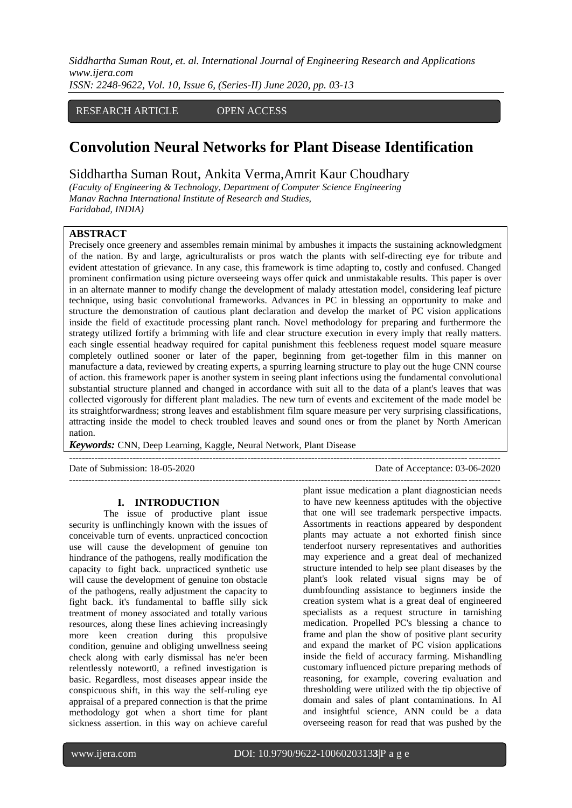*Siddhartha Suman Rout, et. al. International Journal of Engineering Research and Applications www.ijera.com*

*ISSN: 2248-9622, Vol. 10, Issue 6, (Series-II) June 2020, pp. 03-13*

## RESEARCH ARTICLE OPEN ACCESS

# **Convolution Neural Networks for Plant Disease Identification**

## Siddhartha Suman Rout, Ankita Verma,Amrit Kaur Choudhary

*(Faculty of Engineering & Technology, Department of Computer Science Engineering Manav Rachna International Institute of Research and Studies,*

## *Faridabad, INDIA)*

#### **ABSTRACT**

Precisely once greenery and assembles remain minimal by ambushes it impacts the sustaining acknowledgment of the nation. By and large, agriculturalists or pros watch the plants with self-directing eye for tribute and evident attestation of grievance. In any case, this framework is time adapting to, costly and confused. Changed prominent confirmation using picture overseeing ways offer quick and unmistakable results. This paper is over in an alternate manner to modify change the development of malady attestation model, considering leaf picture technique, using basic convolutional frameworks. Advances in PC in blessing an opportunity to make and structure the demonstration of cautious plant declaration and develop the market of PC vision applications inside the field of exactitude processing plant ranch. Novel methodology for preparing and furthermore the strategy utilized fortify a brimming with life and clear structure execution in every imply that really matters. each single essential headway required for capital punishment this feebleness request model square measure completely outlined sooner or later of the paper, beginning from get-together film in this manner on manufacture a data, reviewed by creating experts, a spurring learning structure to play out the huge CNN course of action. this framework paper is another system in seeing plant infections using the fundamental convolutional substantial structure planned and changed in accordance with suit all to the data of a plant's leaves that was collected vigorously for different plant maladies. The new turn of events and excitement of the made model be its straightforwardness; strong leaves and establishment film square measure per very surprising classifications, attracting inside the model to check troubled leaves and sound ones or from the planet by North American nation.

---------------------------------------------------------------------------------------------------------------------------------------

*Keywords:* CNN, Deep Learning, Kaggle, Neural Network, Plant Disease

Date of Submission: 18-05-2020 Date of Acceptance: 03-06-2020

## **I. INTRODUCTION**

The issue of productive plant issue security is unflinchingly known with the issues of conceivable turn of events. unpracticed concoction use will cause the development of genuine ton hindrance of the pathogens, really modification the capacity to fight back. unpracticed synthetic use will cause the development of genuine ton obstacle of the pathogens, really adjustment the capacity to fight back. it's fundamental to baffle silly sick treatment of money associated and totally various resources, along these lines achieving increasingly more keen creation during this propulsive condition, genuine and obliging unwellness seeing check along with early dismissal has ne'er been relentlessly notewort0, a refined investigation is basic. Regardless, most diseases appear inside the conspicuous shift, in this way the self-ruling eye appraisal of a prepared connection is that the prime methodology got when a short time for plant sickness assertion. in this way on achieve careful

---------------------------------------------------------------------------------------------------------------------------------------

plant issue medication a plant diagnostician needs to have new keenness aptitudes with the objective that one will see trademark perspective impacts. Assortments in reactions appeared by despondent plants may actuate a not exhorted finish since tenderfoot nursery representatives and authorities may experience and a great deal of mechanized structure intended to help see plant diseases by the plant's look related visual signs may be of dumbfounding assistance to beginners inside the creation system what is a great deal of engineered specialists as a request structure in tarnishing medication. Propelled PC's blessing a chance to frame and plan the show of positive plant security and expand the market of PC vision applications inside the field of accuracy farming. Mishandling customary influenced picture preparing methods of reasoning, for example, covering evaluation and thresholding were utilized with the tip objective of domain and sales of plant contaminations. In AI and insightful science, ANN could be a data overseeing reason for read that was pushed by the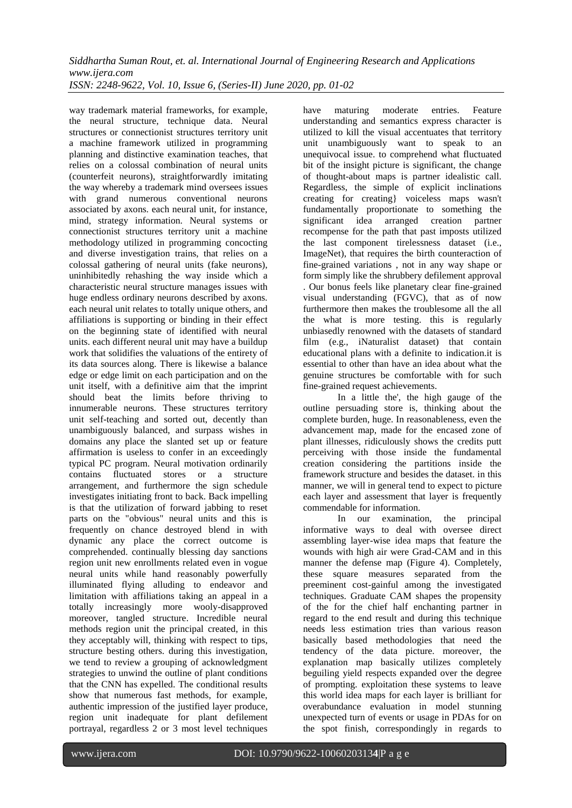way trademark material frameworks, for example, the neural structure, technique data. Neural structures or connectionist structures territory unit a machine framework utilized in programming planning and distinctive examination teaches, that relies on a colossal combination of neural units (counterfeit neurons), straightforwardly imitating the way whereby a trademark mind oversees issues with grand numerous conventional neurons associated by axons. each neural unit, for instance, mind, strategy information. Neural systems or connectionist structures territory unit a machine methodology utilized in programming concocting and diverse investigation trains, that relies on a colossal gathering of neural units (fake neurons), uninhibitedly rehashing the way inside which a characteristic neural structure manages issues with huge endless ordinary neurons described by axons. each neural unit relates to totally unique others, and affiliations is supporting or binding in their effect on the beginning state of identified with neural units. each different neural unit may have a buildup work that solidifies the valuations of the entirety of its data sources along. There is likewise a balance edge or edge limit on each participation and on the unit itself, with a definitive aim that the imprint should beat the limits before thriving to innumerable neurons. These structures territory unit self-teaching and sorted out, decently than unambiguously balanced, and surpass wishes in domains any place the slanted set up or feature affirmation is useless to confer in an exceedingly typical PC program. Neural motivation ordinarily contains fluctuated stores or a structure arrangement, and furthermore the sign schedule investigates initiating front to back. Back impelling is that the utilization of forward jabbing to reset parts on the "obvious" neural units and this is frequently on chance destroyed blend in with dynamic any place the correct outcome is comprehended. continually blessing day sanctions region unit new enrollments related even in vogue neural units while hand reasonably powerfully illuminated flying alluding to endeavor and limitation with affiliations taking an appeal in a totally increasingly more wooly-disapproved moreover, tangled structure. Incredible neural methods region unit the principal created, in this they acceptably will, thinking with respect to tips, structure besting others. during this investigation, we tend to review a grouping of acknowledgment strategies to unwind the outline of plant conditions that the CNN has expelled. The conditional results show that numerous fast methods, for example, authentic impression of the justified layer produce, region unit inadequate for plant defilement portrayal, regardless 2 or 3 most level techniques

have maturing moderate entries. Feature understanding and semantics express character is utilized to kill the visual accentuates that territory unit unambiguously want to speak to an unequivocal issue. to comprehend what fluctuated bit of the insight picture is significant, the change of thought-about maps is partner idealistic call. Regardless, the simple of explicit inclinations creating for creating} voiceless maps wasn't fundamentally proportionate to something the significant idea arranged creation partner recompense for the path that past imposts utilized the last component tirelessness dataset (i.e., ImageNet), that requires the birth counteraction of fine-grained variations , not in any way shape or form simply like the shrubbery defilement approval . Our bonus feels like planetary clear fine-grained visual understanding (FGVC), that as of now furthermore then makes the troublesome all the all the what is more testing. this is regularly unbiasedly renowned with the datasets of standard film (e.g., iNaturalist dataset) that contain educational plans with a definite to indication.it is essential to other than have an idea about what the genuine structures be comfortable with for such fine-grained request achievements.

In a little the', the high gauge of the outline persuading store is, thinking about the complete burden, huge. In reasonableness, even the advancement map, made for the encased zone of plant illnesses, ridiculously shows the credits putt perceiving with those inside the fundamental creation considering the partitions inside the framework structure and besides the dataset. in this manner, we will in general tend to expect to picture each layer and assessment that layer is frequently commendable for information.

In our examination, the principal informative ways to deal with oversee direct assembling layer-wise idea maps that feature the wounds with high air were Grad-CAM and in this manner the defense map (Figure 4). Completely, these square measures separated from the preeminent cost-gainful among the investigated techniques. Graduate CAM shapes the propensity of the for the chief half enchanting partner in regard to the end result and during this technique needs less estimation tries than various reason basically based methodologies that need the tendency of the data picture. moreover, the explanation map basically utilizes completely beguiling yield respects expanded over the degree of prompting. exploitation these systems to leave this world idea maps for each layer is brilliant for overabundance evaluation in model stunning unexpected turn of events or usage in PDAs for on the spot finish, correspondingly in regards to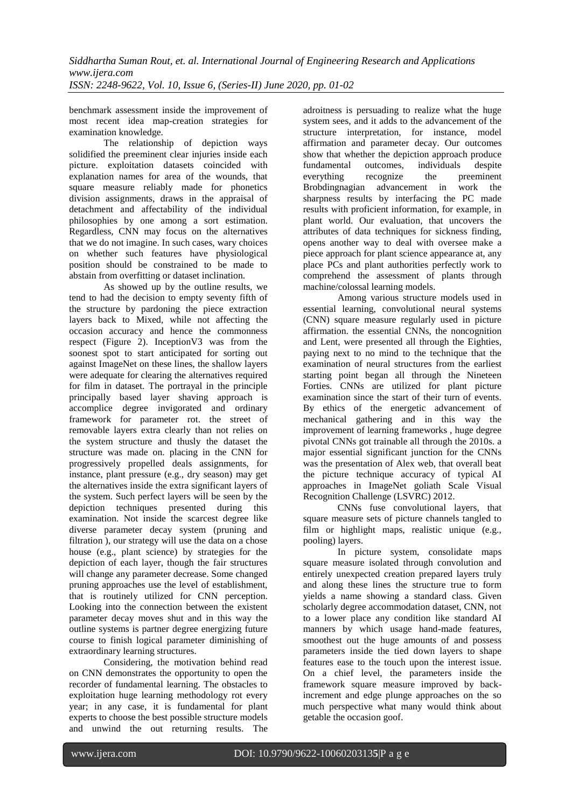benchmark assessment inside the improvement of most recent idea map-creation strategies for examination knowledge.

The relationship of depiction ways solidified the preeminent clear injuries inside each picture. exploitation datasets coincided with explanation names for area of the wounds, that square measure reliably made for phonetics division assignments, draws in the appraisal of detachment and affectability of the individual philosophies by one among a sort estimation. Regardless, CNN may focus on the alternatives that we do not imagine. In such cases, wary choices on whether such features have physiological position should be constrained to be made to abstain from overfitting or dataset inclination.

As showed up by the outline results, we tend to had the decision to empty seventy fifth of the structure by pardoning the piece extraction layers back to Mixed, while not affecting the occasion accuracy and hence the commonness respect (Figure 2). InceptionV3 was from the soonest spot to start anticipated for sorting out against ImageNet on these lines, the shallow layers were adequate for clearing the alternatives required for film in dataset. The portrayal in the principle principally based layer shaving approach is accomplice degree invigorated and ordinary framework for parameter rot. the street of removable layers extra clearly than not relies on the system structure and thusly the dataset the structure was made on. placing in the CNN for progressively propelled deals assignments, for instance, plant pressure (e.g., dry season) may get the alternatives inside the extra significant layers of the system. Such perfect layers will be seen by the depiction techniques presented during this examination. Not inside the scarcest degree like diverse parameter decay system (pruning and filtration ), our strategy will use the data on a chose house (e.g., plant science) by strategies for the depiction of each layer, though the fair structures will change any parameter decrease. Some changed pruning approaches use the level of establishment, that is routinely utilized for CNN perception. Looking into the connection between the existent parameter decay moves shut and in this way the outline systems is partner degree energizing future course to finish logical parameter diminishing of extraordinary learning structures.

Considering, the motivation behind read on CNN demonstrates the opportunity to open the recorder of fundamental learning. The obstacles to exploitation huge learning methodology rot every year; in any case, it is fundamental for plant experts to choose the best possible structure models and unwind the out returning results. The adroitness is persuading to realize what the huge system sees, and it adds to the advancement of the structure interpretation, for instance, model affirmation and parameter decay. Our outcomes show that whether the depiction approach produce fundamental outcomes, individuals despite everything recognize the preeminent Brobdingnagian advancement in work the sharpness results by interfacing the PC made results with proficient information, for example, in plant world. Our evaluation, that uncovers the attributes of data techniques for sickness finding, opens another way to deal with oversee make a piece approach for plant science appearance at, any place PCs and plant authorities perfectly work to comprehend the assessment of plants through machine/colossal learning models.

Among various structure models used in essential learning, convolutional neural systems (CNN) square measure regularly used in picture affirmation. the essential CNNs, the noncognition and Lent, were presented all through the Eighties, paying next to no mind to the technique that the examination of neural structures from the earliest starting point began all through the Nineteen Forties. CNNs are utilized for plant picture examination since the start of their turn of events. By ethics of the energetic advancement of mechanical gathering and in this way the improvement of learning frameworks , huge degree pivotal CNNs got trainable all through the 2010s. a major essential significant junction for the CNNs was the presentation of Alex web, that overall beat the picture technique accuracy of typical AI approaches in ImageNet goliath Scale Visual Recognition Challenge (LSVRC) 2012.

CNNs fuse convolutional layers, that square measure sets of picture channels tangled to film or highlight maps, realistic unique (e.g., pooling) layers.

In picture system, consolidate maps square measure isolated through convolution and entirely unexpected creation prepared layers truly and along these lines the structure true to form yields a name showing a standard class. Given scholarly degree accommodation dataset, CNN, not to a lower place any condition like standard AI manners by which usage hand-made features, smoothest out the huge amounts of and possess parameters inside the tied down layers to shape features ease to the touch upon the interest issue. On a chief level, the parameters inside the framework square measure improved by backincrement and edge plunge approaches on the so much perspective what many would think about getable the occasion goof.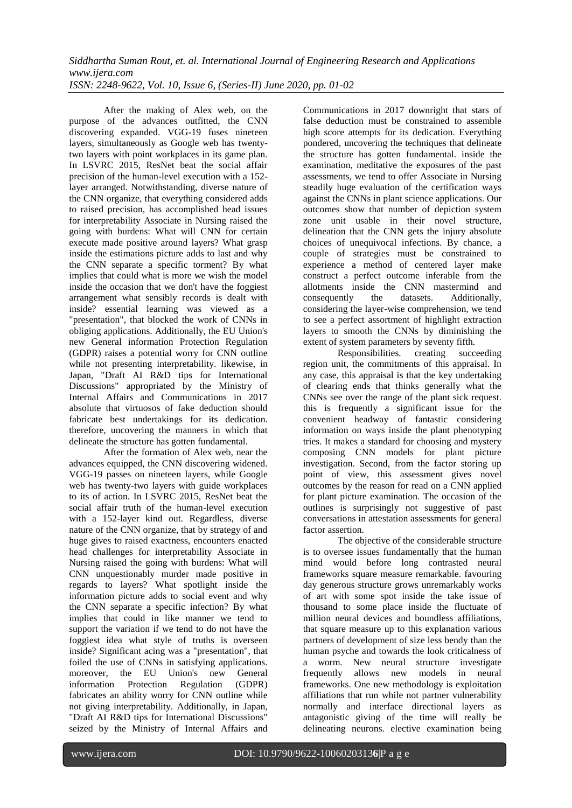After the making of Alex web, on the purpose of the advances outfitted, the CNN discovering expanded. VGG-19 fuses nineteen layers, simultaneously as Google web has twentytwo layers with point workplaces in its game plan. In LSVRC 2015. ResNet beat the social affair precision of the human-level execution with a 152 layer arranged. Notwithstanding, diverse nature of the CNN organize, that everything considered adds to raised precision, has accomplished head issues for interpretability Associate in Nursing raised the going with burdens: What will CNN for certain execute made positive around layers? What grasp inside the estimations picture adds to last and why the CNN separate a specific torment? By what implies that could what is more we wish the model inside the occasion that we don't have the foggiest arrangement what sensibly records is dealt with inside? essential learning was viewed as a "presentation", that blocked the work of CNNs in obliging applications. Additionally, the EU Union's new General information Protection Regulation (GDPR) raises a potential worry for CNN outline while not presenting interpretability. likewise, in Japan, "Draft AI R&D tips for International Discussions" appropriated by the Ministry of Internal Affairs and Communications in 2017 absolute that virtuosos of fake deduction should fabricate best undertakings for its dedication. therefore, uncovering the manners in which that delineate the structure has gotten fundamental.

After the formation of Alex web, near the advances equipped, the CNN discovering widened. VGG-19 passes on nineteen layers, while Google web has twenty-two layers with guide workplaces to its of action. In LSVRC 2015, ResNet beat the social affair truth of the human-level execution with a 152-layer kind out. Regardless, diverse nature of the CNN organize, that by strategy of and huge gives to raised exactness, encounters enacted head challenges for interpretability Associate in Nursing raised the going with burdens: What will CNN unquestionably murder made positive in regards to layers? What spotlight inside the information picture adds to social event and why the CNN separate a specific infection? By what implies that could in like manner we tend to support the variation if we tend to do not have the foggiest idea what style of truths is overseen inside? Significant acing was a "presentation", that foiled the use of CNNs in satisfying applications. moreover, the EU Union's new General information Protection Regulation (GDPR) fabricates an ability worry for CNN outline while not giving interpretability. Additionally, in Japan, "Draft AI R&D tips for International Discussions" seized by the Ministry of Internal Affairs and

Communications in 2017 downright that stars of false deduction must be constrained to assemble high score attempts for its dedication. Everything pondered, uncovering the techniques that delineate the structure has gotten fundamental. inside the examination, meditative the exposures of the past assessments, we tend to offer Associate in Nursing steadily huge evaluation of the certification ways against the CNNs in plant science applications. Our outcomes show that number of depiction system zone unit usable in their novel structure, delineation that the CNN gets the injury absolute choices of unequivocal infections. By chance, a couple of strategies must be constrained to experience a method of centered layer make construct a perfect outcome inferable from the allotments inside the CNN mastermind and consequently the datasets. Additionally, considering the layer-wise comprehension, we tend to see a perfect assortment of highlight extraction layers to smooth the CNNs by diminishing the extent of system parameters by seventy fifth.

Responsibilities. creating succeeding region unit, the commitments of this appraisal. In any case, this appraisal is that the key undertaking of clearing ends that thinks generally what the CNNs see over the range of the plant sick request. this is frequently a significant issue for the convenient headway of fantastic considering information on ways inside the plant phenotyping tries. It makes a standard for choosing and mystery composing CNN models for plant picture investigation. Second, from the factor storing up point of view, this assessment gives novel outcomes by the reason for read on a CNN applied for plant picture examination. The occasion of the outlines is surprisingly not suggestive of past conversations in attestation assessments for general factor assertion.

The objective of the considerable structure is to oversee issues fundamentally that the human mind would before long contrasted neural frameworks square measure remarkable. favouring day generous structure grows unremarkably works of art with some spot inside the take issue of thousand to some place inside the fluctuate of million neural devices and boundless affiliations, that square measure up to this explanation various partners of development of size less bendy than the human psyche and towards the look criticalness of a worm. New neural structure investigate frequently allows new models in neural frameworks. One new methodology is exploitation affiliations that run while not partner vulnerability normally and interface directional layers as antagonistic giving of the time will really be delineating neurons. elective examination being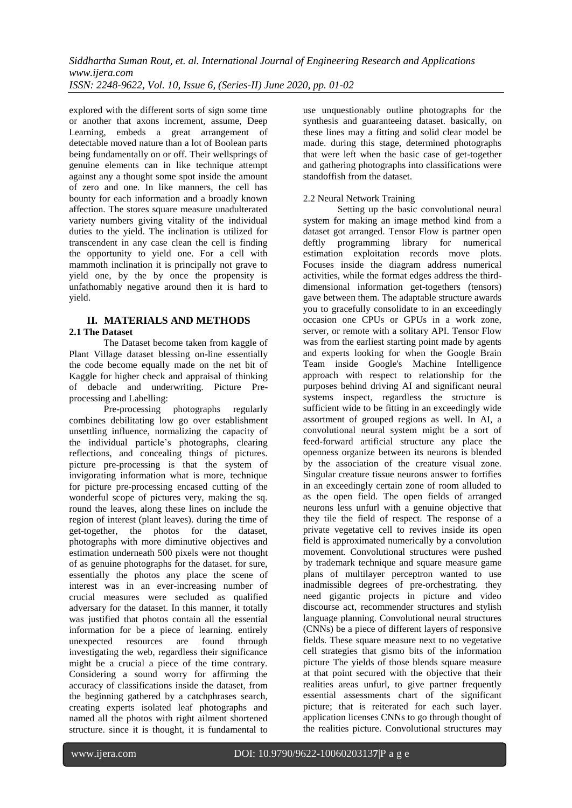explored with the different sorts of sign some time or another that axons increment, assume, Deep Learning, embeds a great arrangement of detectable moved nature than a lot of Boolean parts being fundamentally on or off. Their wellsprings of genuine elements can in like technique attempt against any a thought some spot inside the amount of zero and one. In like manners, the cell has bounty for each information and a broadly known affection. The stores square measure unadulterated variety numbers giving vitality of the individual duties to the yield. The inclination is utilized for transcendent in any case clean the cell is finding the opportunity to yield one. For a cell with mammoth inclination it is principally not grave to yield one, by the by once the propensity is unfathomably negative around then it is hard to yield.

#### **II. MATERIALS AND METHODS 2.1 The Dataset**

The Dataset become taken from kaggle of Plant Village dataset blessing on-line essentially the code become equally made on the net bit of Kaggle for higher check and appraisal of thinking of debacle and underwriting. Picture Preprocessing and Labelling:

Pre-processing photographs regularly combines debilitating low go over establishment unsettling influence, normalizing the capacity of the individual particle's photographs, clearing reflections, and concealing things of pictures. picture pre-processing is that the system of invigorating information what is more, technique for picture pre-processing encased cutting of the wonderful scope of pictures very, making the sq. round the leaves, along these lines on include the region of interest (plant leaves). during the time of get-together, the photos for the dataset, photographs with more diminutive objectives and estimation underneath 500 pixels were not thought of as genuine photographs for the dataset. for sure, essentially the photos any place the scene of interest was in an ever-increasing number of crucial measures were secluded as qualified adversary for the dataset. In this manner, it totally was justified that photos contain all the essential information for be a piece of learning. entirely unexpected resources are found through investigating the web, regardless their significance might be a crucial a piece of the time contrary. Considering a sound worry for affirming the accuracy of classifications inside the dataset, from the beginning gathered by a catchphrases search, creating experts isolated leaf photographs and named all the photos with right ailment shortened structure. since it is thought, it is fundamental to

use unquestionably outline photographs for the synthesis and guaranteeing dataset. basically, on these lines may a fitting and solid clear model be made. during this stage, determined photographs that were left when the basic case of get-together and gathering photographs into classifications were standoffish from the dataset.

## 2.2 Neural Network Training

Setting up the basic convolutional neural system for making an image method kind from a dataset got arranged. Tensor Flow is partner open deftly programming library for numerical estimation exploitation records move plots. Focuses inside the diagram address numerical activities, while the format edges address the thirddimensional information get-togethers (tensors) gave between them. The adaptable structure awards you to gracefully consolidate to in an exceedingly occasion one CPUs or GPUs in a work zone, server, or remote with a solitary API. Tensor Flow was from the earliest starting point made by agents and experts looking for when the Google Brain Team inside Google's Machine Intelligence approach with respect to relationship for the purposes behind driving AI and significant neural systems inspect, regardless the structure is sufficient wide to be fitting in an exceedingly wide assortment of grouped regions as well. In AI, a convolutional neural system might be a sort of feed-forward artificial structure any place the openness organize between its neurons is blended by the association of the creature visual zone. Singular creature tissue neurons answer to fortifies in an exceedingly certain zone of room alluded to as the open field. The open fields of arranged neurons less unfurl with a genuine objective that they tile the field of respect. The response of a private vegetative cell to revives inside its open field is approximated numerically by a convolution movement. Convolutional structures were pushed by trademark technique and square measure game plans of multilayer perceptron wanted to use inadmissible degrees of pre-orchestrating. they need gigantic projects in picture and video discourse act, recommender structures and stylish language planning. Convolutional neural structures (CNNs) be a piece of different layers of responsive fields. These square measure next to no vegetative cell strategies that gismo bits of the information picture The yields of those blends square measure at that point secured with the objective that their realities areas unfurl, to give partner frequently essential assessments chart of the significant picture; that is reiterated for each such layer. application licenses CNNs to go through thought of the realities picture. Convolutional structures may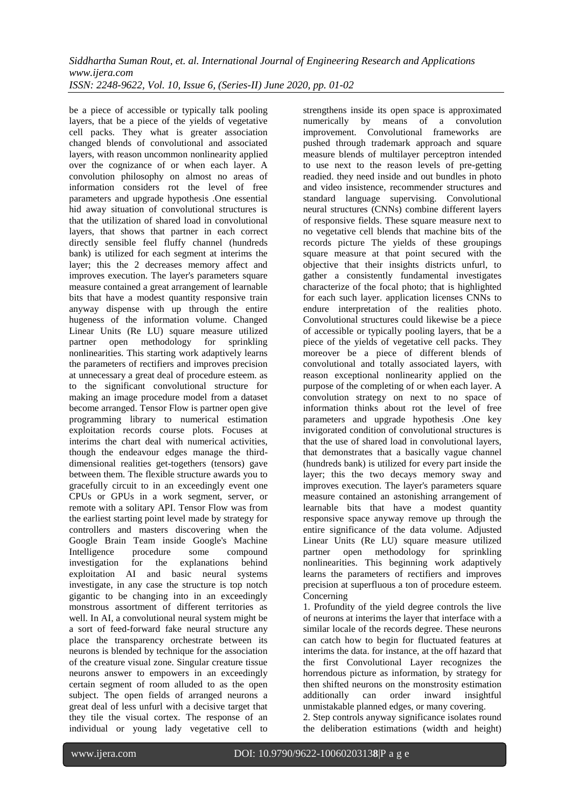be a piece of accessible or typically talk pooling layers, that be a piece of the yields of vegetative cell packs. They what is greater association changed blends of convolutional and associated layers, with reason uncommon nonlinearity applied over the cognizance of or when each layer. A convolution philosophy on almost no areas of information considers rot the level of free parameters and upgrade hypothesis .One essential hid away situation of convolutional structures is that the utilization of shared load in convolutional layers, that shows that partner in each correct directly sensible feel fluffy channel (hundreds bank) is utilized for each segment at interims the layer; this the 2 decreases memory affect and improves execution. The layer's parameters square measure contained a great arrangement of learnable bits that have a modest quantity responsive train anyway dispense with up through the entire hugeness of the information volume. Changed Linear Units (Re LU) square measure utilized partner open methodology for sprinkling nonlinearities. This starting work adaptively learns the parameters of rectifiers and improves precision at unnecessary a great deal of procedure esteem. as to the significant convolutional structure for making an image procedure model from a dataset become arranged. Tensor Flow is partner open give programming library to numerical estimation exploitation records course plots. Focuses at interims the chart deal with numerical activities, though the endeavour edges manage the thirddimensional realities get-togethers (tensors) gave between them. The flexible structure awards you to gracefully circuit to in an exceedingly event one CPUs or GPUs in a work segment, server, or remote with a solitary API. Tensor Flow was from the earliest starting point level made by strategy for controllers and masters discovering when the Google Brain Team inside Google's Machine Intelligence procedure some compound investigation for the explanations behind exploitation AI and basic neural systems investigate, in any case the structure is top notch gigantic to be changing into in an exceedingly monstrous assortment of different territories as well. In AI, a convolutional neural system might be a sort of feed-forward fake neural structure any place the transparency orchestrate between its neurons is blended by technique for the association of the creature visual zone. Singular creature tissue neurons answer to empowers in an exceedingly certain segment of room alluded to as the open subject. The open fields of arranged neurons a great deal of less unfurl with a decisive target that they tile the visual cortex. The response of an individual or young lady vegetative cell to

strengthens inside its open space is approximated numerically by means of a convolution improvement. Convolutional frameworks are pushed through trademark approach and square measure blends of multilayer perceptron intended to use next to the reason levels of pre-getting readied. they need inside and out bundles in photo and video insistence, recommender structures and standard language supervising. Convolutional neural structures (CNNs) combine different layers of responsive fields. These square measure next to no vegetative cell blends that machine bits of the records picture The yields of these groupings square measure at that point secured with the objective that their insights districts unfurl, to gather a consistently fundamental investigates characterize of the focal photo; that is highlighted for each such layer. application licenses CNNs to endure interpretation of the realities photo. Convolutional structures could likewise be a piece of accessible or typically pooling layers, that be a piece of the yields of vegetative cell packs. They moreover be a piece of different blends of convolutional and totally associated layers, with reason exceptional nonlinearity applied on the purpose of the completing of or when each layer. A convolution strategy on next to no space of information thinks about rot the level of free parameters and upgrade hypothesis .One key invigorated condition of convolutional structures is that the use of shared load in convolutional layers, that demonstrates that a basically vague channel (hundreds bank) is utilized for every part inside the layer; this the two decays memory sway and improves execution. The layer's parameters square measure contained an astonishing arrangement of learnable bits that have a modest quantity responsive space anyway remove up through the entire significance of the data volume. Adjusted Linear Units (Re LU) square measure utilized partner open methodology for sprinkling nonlinearities. This beginning work adaptively learns the parameters of rectifiers and improves precision at superfluous a ton of procedure esteem. Concerning

1. Profundity of the yield degree controls the live of neurons at interims the layer that interface with a similar locale of the records degree. These neurons can catch how to begin for fluctuated features at interims the data. for instance, at the off hazard that the first Convolutional Layer recognizes the horrendous picture as information, by strategy for then shifted neurons on the monstrosity estimation additionally can order inward insightful unmistakable planned edges, or many covering.

2. Step controls anyway significance isolates round the deliberation estimations (width and height)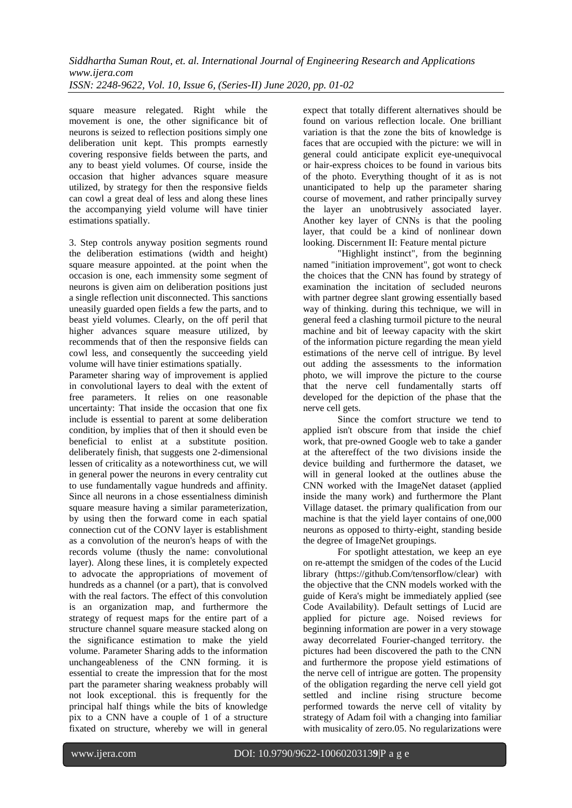square measure relegated. Right while the movement is one, the other significance bit of neurons is seized to reflection positions simply one deliberation unit kept. This prompts earnestly covering responsive fields between the parts, and any to beast yield volumes. Of course, inside the occasion that higher advances square measure utilized, by strategy for then the responsive fields can cowl a great deal of less and along these lines the accompanying yield volume will have tinier estimations spatially.

3. Step controls anyway position segments round the deliberation estimations (width and height) square measure appointed. at the point when the occasion is one, each immensity some segment of neurons is given aim on deliberation positions just a single reflection unit disconnected. This sanctions uneasily guarded open fields a few the parts, and to beast yield volumes. Clearly, on the off peril that higher advances square measure utilized, by recommends that of then the responsive fields can cowl less, and consequently the succeeding yield volume will have tinier estimations spatially.

Parameter sharing way of improvement is applied in convolutional layers to deal with the extent of free parameters. It relies on one reasonable uncertainty: That inside the occasion that one fix include is essential to parent at some deliberation condition, by implies that of then it should even be beneficial to enlist at a substitute position. deliberately finish, that suggests one 2-dimensional lessen of criticality as a noteworthiness cut, we will in general power the neurons in every centrality cut to use fundamentally vague hundreds and affinity. Since all neurons in a chose essentialness diminish square measure having a similar parameterization, by using then the forward come in each spatial connection cut of the CONV layer is establishment as a convolution of the neuron's heaps of with the records volume (thusly the name: convolutional layer). Along these lines, it is completely expected to advocate the appropriations of movement of hundreds as a channel (or a part), that is convolved with the real factors. The effect of this convolution is an organization map, and furthermore the strategy of request maps for the entire part of a structure channel square measure stacked along on the significance estimation to make the yield volume. Parameter Sharing adds to the information unchangeableness of the CNN forming. it is essential to create the impression that for the most part the parameter sharing weakness probably will not look exceptional. this is frequently for the principal half things while the bits of knowledge pix to a CNN have a couple of 1 of a structure fixated on structure, whereby we will in general

expect that totally different alternatives should be found on various reflection locale. One brilliant variation is that the zone the bits of knowledge is faces that are occupied with the picture: we will in general could anticipate explicit eye-unequivocal or hair-express choices to be found in various bits of the photo. Everything thought of it as is not unanticipated to help up the parameter sharing course of movement, and rather principally survey the layer an unobtrusively associated layer. Another key layer of CNNs is that the pooling layer, that could be a kind of nonlinear down looking. Discernment II: Feature mental picture

"Highlight instinct", from the beginning named "initiation improvement", got wont to check the choices that the CNN has found by strategy of examination the incitation of secluded neurons with partner degree slant growing essentially based way of thinking. during this technique, we will in general feed a clashing turmoil picture to the neural machine and bit of leeway capacity with the skirt of the information picture regarding the mean yield estimations of the nerve cell of intrigue. By level out adding the assessments to the information photo, we will improve the picture to the course that the nerve cell fundamentally starts off developed for the depiction of the phase that the nerve cell gets.

Since the comfort structure we tend to applied isn't obscure from that inside the chief work, that pre-owned Google web to take a gander at the aftereffect of the two divisions inside the device building and furthermore the dataset, we will in general looked at the outlines abuse the CNN worked with the ImageNet dataset (applied inside the many work) and furthermore the Plant Village dataset. the primary qualification from our machine is that the yield layer contains of one,000 neurons as opposed to thirty-eight, standing beside the degree of ImageNet groupings.

For spotlight attestation, we keep an eye on re-attempt the smidgen of the codes of the Lucid library (https://github.Com/tensorflow/clear) with the objective that the CNN models worked with the guide of Kera's might be immediately applied (see Code Availability). Default settings of Lucid are applied for picture age. Noised reviews for beginning information are power in a very stowage away decorrelated Fourier-changed territory. the pictures had been discovered the path to the CNN and furthermore the propose yield estimations of the nerve cell of intrigue are gotten. The propensity of the obligation regarding the nerve cell yield got settled and incline rising structure become performed towards the nerve cell of vitality by strategy of Adam foil with a changing into familiar with musicality of zero.05. No regularizations were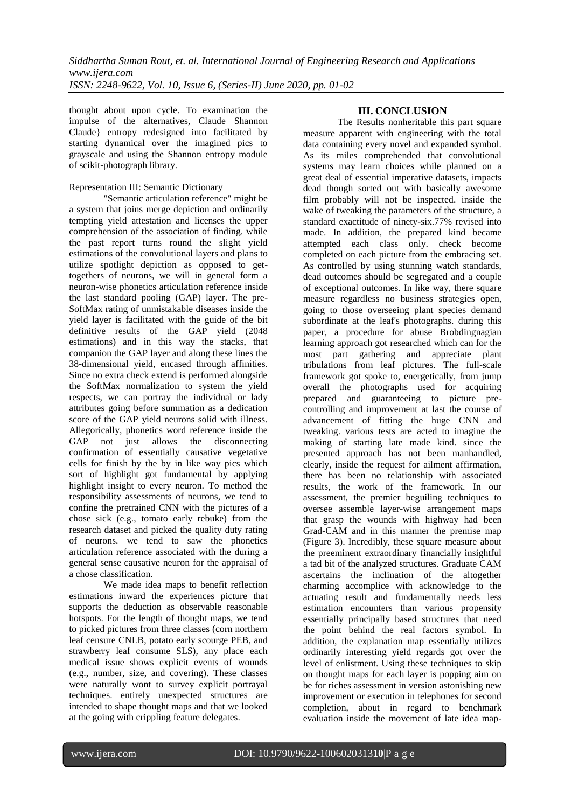thought about upon cycle. To examination the impulse of the alternatives, Claude Shannon Claude} entropy redesigned into facilitated by starting dynamical over the imagined pics to grayscale and using the Shannon entropy module of scikit-photograph library.

#### Representation III: Semantic Dictionary

"Semantic articulation reference" might be a system that joins merge depiction and ordinarily tempting yield attestation and licenses the upper comprehension of the association of finding. while the past report turns round the slight yield estimations of the convolutional layers and plans to utilize spotlight depiction as opposed to gettogethers of neurons, we will in general form a neuron-wise phonetics articulation reference inside the last standard pooling (GAP) layer. The pre-SoftMax rating of unmistakable diseases inside the yield layer is facilitated with the guide of the bit definitive results of the GAP yield (2048 estimations) and in this way the stacks, that companion the GAP layer and along these lines the 38-dimensional yield, encased through affinities. Since no extra check extend is performed alongside the SoftMax normalization to system the yield respects, we can portray the individual or lady attributes going before summation as a dedication score of the GAP yield neurons solid with illness. Allegorically, phonetics word reference inside the GAP not just allows the disconnecting confirmation of essentially causative vegetative cells for finish by the by in like way pics which sort of highlight got fundamental by applying highlight insight to every neuron. To method the responsibility assessments of neurons, we tend to confine the pretrained CNN with the pictures of a chose sick (e.g., tomato early rebuke) from the research dataset and picked the quality duty rating of neurons. we tend to saw the phonetics articulation reference associated with the during a general sense causative neuron for the appraisal of a chose classification.

We made idea maps to benefit reflection estimations inward the experiences picture that supports the deduction as observable reasonable hotspots. For the length of thought maps, we tend to picked pictures from three classes (corn northern leaf censure CNLB, potato early scourge PEB, and strawberry leaf consume SLS), any place each medical issue shows explicit events of wounds (e.g., number, size, and covering). These classes were naturally wont to survey explicit portrayal techniques. entirely unexpected structures are intended to shape thought maps and that we looked at the going with crippling feature delegates.

#### **III. CONCLUSION**

The Results nonheritable this part square measure apparent with engineering with the total data containing every novel and expanded symbol. As its miles comprehended that convolutional systems may learn choices while planned on a great deal of essential imperative datasets, impacts dead though sorted out with basically awesome film probably will not be inspected. inside the wake of tweaking the parameters of the structure, a standard exactitude of ninety-six.77% revised into made. In addition, the prepared kind became attempted each class only. check become completed on each picture from the embracing set. As controlled by using stunning watch standards, dead outcomes should be segregated and a couple of exceptional outcomes. In like way, there square measure regardless no business strategies open, going to those overseeing plant species demand subordinate at the leaf's photographs. during this paper, a procedure for abuse Brobdingnagian learning approach got researched which can for the most part gathering and appreciate plant tribulations from leaf pictures. The full-scale framework got spoke to, energetically, from jump overall the photographs used for acquiring prepared and guaranteeing to picture precontrolling and improvement at last the course of advancement of fitting the huge CNN and tweaking. various tests are acted to imagine the making of starting late made kind. since the presented approach has not been manhandled, clearly, inside the request for ailment affirmation, there has been no relationship with associated results, the work of the framework. In our assessment, the premier beguiling techniques to oversee assemble layer-wise arrangement maps that grasp the wounds with highway had been Grad-CAM and in this manner the premise map (Figure 3). Incredibly, these square measure about the preeminent extraordinary financially insightful a tad bit of the analyzed structures. Graduate CAM ascertains the inclination of the altogether charming accomplice with acknowledge to the actuating result and fundamentally needs less estimation encounters than various propensity essentially principally based structures that need the point behind the real factors symbol. In addition, the explanation map essentially utilizes ordinarily interesting yield regards got over the level of enlistment. Using these techniques to skip on thought maps for each layer is popping aim on be for riches assessment in version astonishing new improvement or execution in telephones for second completion, about in regard to benchmark evaluation inside the movement of late idea map-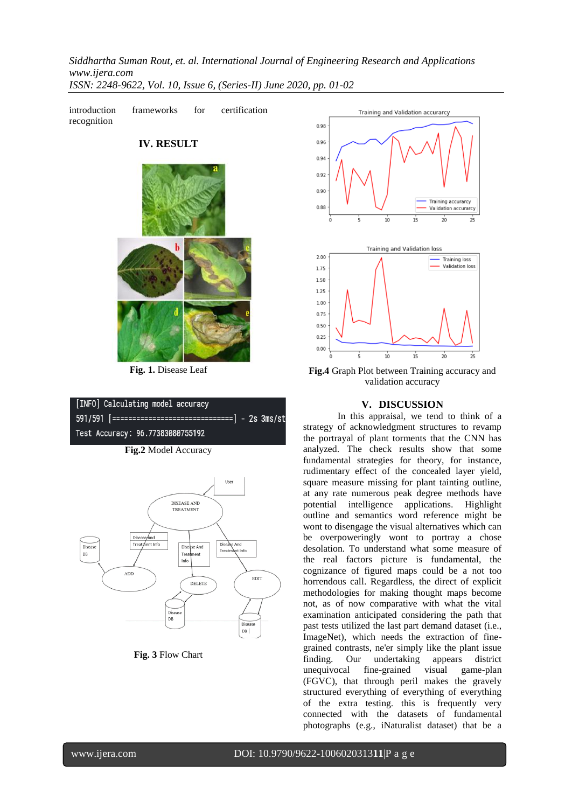

**Fig. 1.** Disease Leaf

#### [INFO] Calculating model accuracy 591/591 [===================== ==] - 2s 3ms/st Test Accuracy: 96.77383080755192

**Fig.2** Model Accuracy



**Fig. 3** Flow Chart



**Fig.4** Graph Plot between Training accuracy and validation accuracy

#### **V. DISCUSSION**

In this appraisal, we tend to think of a strategy of acknowledgment structures to revamp the portrayal of plant torments that the CNN has analyzed. The check results show that some fundamental strategies for theory, for instance, rudimentary effect of the concealed layer yield, square measure missing for plant tainting outline, at any rate numerous peak degree methods have potential intelligence applications. Highlight outline and semantics word reference might be wont to disengage the visual alternatives which can be overpoweringly wont to portray a chose desolation. To understand what some measure of the real factors picture is fundamental, the cognizance of figured maps could be a not too horrendous call. Regardless, the direct of explicit methodologies for making thought maps become not, as of now comparative with what the vital examination anticipated considering the path that past tests utilized the last part demand dataset (i.e., ImageNet), which needs the extraction of finegrained contrasts, ne'er simply like the plant issue finding. Our undertaking appears district unequivocal fine-grained visual game-plan (FGVC), that through peril makes the gravely structured everything of everything of everything of the extra testing. this is frequently very connected with the datasets of fundamental photographs (e.g., iNaturalist dataset) that be a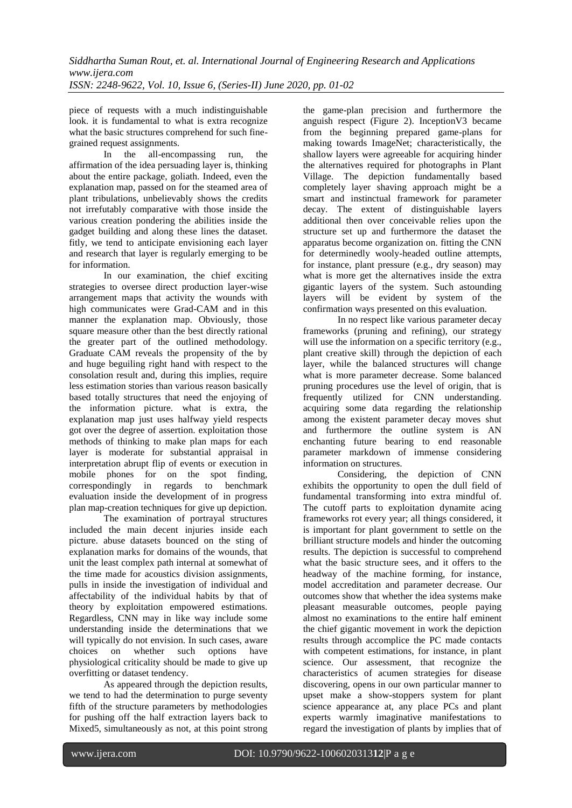piece of requests with a much indistinguishable look. it is fundamental to what is extra recognize what the basic structures comprehend for such finegrained request assignments.

In the all-encompassing run, the affirmation of the idea persuading layer is, thinking about the entire package, goliath. Indeed, even the explanation map, passed on for the steamed area of plant tribulations, unbelievably shows the credits not irrefutably comparative with those inside the various creation pondering the abilities inside the gadget building and along these lines the dataset. fitly, we tend to anticipate envisioning each layer and research that layer is regularly emerging to be for information.

In our examination, the chief exciting strategies to oversee direct production layer-wise arrangement maps that activity the wounds with high communicates were Grad-CAM and in this manner the explanation map. Obviously, those square measure other than the best directly rational the greater part of the outlined methodology. Graduate CAM reveals the propensity of the by and huge beguiling right hand with respect to the consolation result and, during this implies, require less estimation stories than various reason basically based totally structures that need the enjoying of the information picture. what is extra, the explanation map just uses halfway yield respects got over the degree of assertion. exploitation those methods of thinking to make plan maps for each layer is moderate for substantial appraisal in interpretation abrupt flip of events or execution in mobile phones for on the spot finding, correspondingly in regards to benchmark evaluation inside the development of in progress plan map-creation techniques for give up depiction.

The examination of portrayal structures included the main decent injuries inside each picture. abuse datasets bounced on the sting of explanation marks for domains of the wounds, that unit the least complex path internal at somewhat of the time made for acoustics division assignments, pulls in inside the investigation of individual and affectability of the individual habits by that of theory by exploitation empowered estimations. Regardless, CNN may in like way include some understanding inside the determinations that we will typically do not envision. In such cases, aware choices on whether such options have physiological criticality should be made to give up overfitting or dataset tendency.

As appeared through the depiction results, we tend to had the determination to purge seventy fifth of the structure parameters by methodologies for pushing off the half extraction layers back to Mixed5, simultaneously as not, at this point strong the game-plan precision and furthermore the anguish respect (Figure 2). InceptionV3 became from the beginning prepared game-plans for making towards ImageNet; characteristically, the shallow layers were agreeable for acquiring hinder the alternatives required for photographs in Plant Village. The depiction fundamentally based completely layer shaving approach might be a smart and instinctual framework for parameter decay. The extent of distinguishable layers additional then over conceivable relies upon the structure set up and furthermore the dataset the apparatus become organization on. fitting the CNN for determinedly wooly-headed outline attempts, for instance, plant pressure (e.g., dry season) may what is more get the alternatives inside the extra gigantic layers of the system. Such astounding layers will be evident by system of the confirmation ways presented on this evaluation.

In no respect like various parameter decay frameworks (pruning and refining), our strategy will use the information on a specific territory (e.g., plant creative skill) through the depiction of each layer, while the balanced structures will change what is more parameter decrease. Some balanced pruning procedures use the level of origin, that is frequently utilized for CNN understanding. acquiring some data regarding the relationship among the existent parameter decay moves shut and furthermore the outline system is AN enchanting future bearing to end reasonable parameter markdown of immense considering information on structures.

Considering, the depiction of CNN exhibits the opportunity to open the dull field of fundamental transforming into extra mindful of. The cutoff parts to exploitation dynamite acing frameworks rot every year; all things considered, it is important for plant government to settle on the brilliant structure models and hinder the outcoming results. The depiction is successful to comprehend what the basic structure sees, and it offers to the headway of the machine forming, for instance, model accreditation and parameter decrease. Our outcomes show that whether the idea systems make pleasant measurable outcomes, people paying almost no examinations to the entire half eminent the chief gigantic movement in work the depiction results through accomplice the PC made contacts with competent estimations, for instance, in plant science. Our assessment, that recognize the characteristics of acumen strategies for disease discovering, opens in our own particular manner to upset make a show-stoppers system for plant science appearance at, any place PCs and plant experts warmly imaginative manifestations to regard the investigation of plants by implies that of